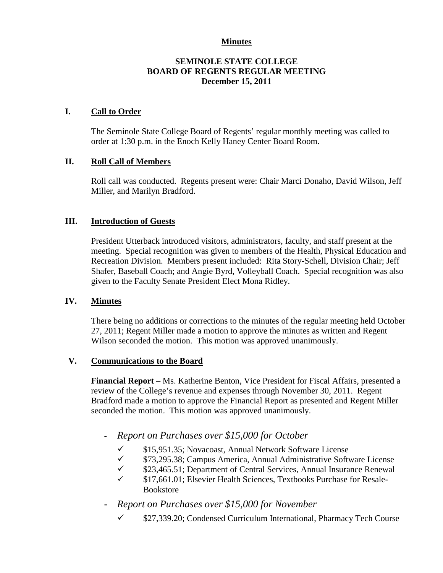## **Minutes**

## **SEMINOLE STATE COLLEGE BOARD OF REGENTS REGULAR MEETING December 15, 2011**

## **I. Call to Order**

The Seminole State College Board of Regents' regular monthly meeting was called to order at 1:30 p.m. in the Enoch Kelly Haney Center Board Room.

## **II. Roll Call of Members**

Roll call was conducted. Regents present were: Chair Marci Donaho, David Wilson, Jeff Miller, and Marilyn Bradford.

## **III. Introduction of Guests**

President Utterback introduced visitors, administrators, faculty, and staff present at the meeting. Special recognition was given to members of the Health, Physical Education and Recreation Division. Members present included: Rita Story-Schell, Division Chair; Jeff Shafer, Baseball Coach; and Angie Byrd, Volleyball Coach. Special recognition was also given to the Faculty Senate President Elect Mona Ridley.

#### **IV. Minutes**

There being no additions or corrections to the minutes of the regular meeting held October 27, 2011; Regent Miller made a motion to approve the minutes as written and Regent Wilson seconded the motion. This motion was approved unanimously.

#### **V. Communications to the Board**

**Financial Report** – Ms. Katherine Benton, Vice President for Fiscal Affairs, presented a review of the College's revenue and expenses through November 30, 2011. Regent Bradford made a motion to approve the Financial Report as presented and Regent Miller seconded the motion. This motion was approved unanimously.

- **-** *Report on Purchases over \$15,000 for October* 
	- $\checkmark$  \$15,951.35; Novacoast, Annual Network Software License<br> $\checkmark$  \$73.295.38; Campus America, Annual Administrative Softy
	- \$73,295.38; Campus America, Annual Administrative Software License
	- $\checkmark$  \$23,465.51; Department of Central Services, Annual Insurance Renewal
	- $\checkmark$  \$17,661.01; Elsevier Health Sciences, Textbooks Purchase for Resale-Bookstore
- **-** *Report on Purchases over \$15,000 for November* 
	- $\checkmark$  \$27,339.20; Condensed Curriculum International, Pharmacy Tech Course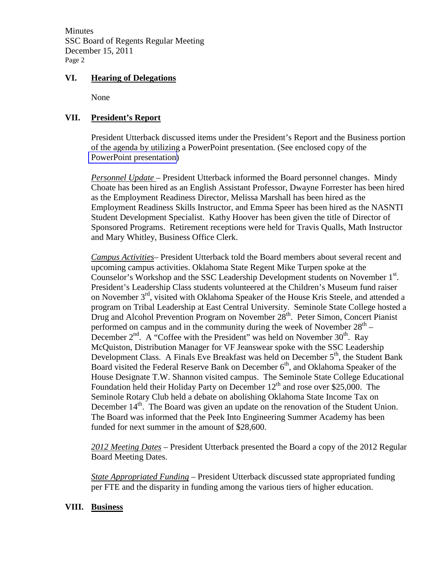**Minutes** SSC Board of Regents Regular Meeting December 15, 2011 Page 2

## **VI. Hearing of Delegations**

None

## **VII. President's Report**

President Utterback discussed items under the President's Report and the Business portion of the agenda by utilizing a PowerPoint presentation. (See enclosed copy of the PowerPoint presentation)

*Personnel Update* – President Utterback informed the Board personnel changes. Mindy Choate has been hired as an English Assistant Professor, Dwayne Forrester has been hired as the Employment Readiness Director, Melissa Marshall has been hired as the Employment Readiness Skills Instructor, and Emma Speer has been hired as the NASNTI Student Development Specialist. Kathy Hoover has been given the title of Director of Sponsored Programs. Retirement receptions were held for Travis Qualls, Math Instructor and Mary Whitley, Business Office Clerk.

*Campus Activities*– President Utterback told the Board members about several recent and upcoming campus activities. Oklahoma State Regent Mike Turpen spoke at the Counselor's Workshop and the SSC Leadership Development students on November 1<sup>st</sup>. President's Leadership Class students volunteered at the Children's Museum fund raiser on November 3<sup>rd</sup>, visited with Oklahoma Speaker of the House Kris Steele, and attended a program on Tribal Leadership at East Central University. Seminole State College hosted a Drug and Alcohol Prevention Program on November  $28<sup>th</sup>$ . Peter Simon, Concert Pianist performed on campus and in the community during the week of November  $28<sup>th</sup> -$ December  $2<sup>nd</sup>$ . A "Coffee with the President" was held on November 30<sup>th</sup>. Ray McQuiston, Distribution Manager for VF Jeanswear spoke with the SSC Leadership Development Class. A Finals Eve Breakfast was held on December  $5<sup>th</sup>$ , the Student Bank Board visited the Federal Reserve Bank on December  $6<sup>th</sup>$ , and Oklahoma Speaker of the House Designate T.W. Shannon visited campus. The Seminole State College Educational Foundation held their Holiday Party on December  $12<sup>th</sup>$  and rose over \$25,000. The Seminole Rotary Club held a debate on abolishing Oklahoma State Income Tax on December 14<sup>th</sup>. The Board was given an update on the renovation of the Student Union. The Board was informed that the Peek Into Engineering Summer Academy has been funded for next summer in the amount of \$28,600.

*2012 Meeting Dates –* President Utterback presented the Board a copy of the 2012 Regular Board Meeting Dates.

*State Appropriated Funding* – President Utterback discussed state appropriated funding per FTE and the disparity in funding among the various tiers of higher education.

#### **VIII. Business**